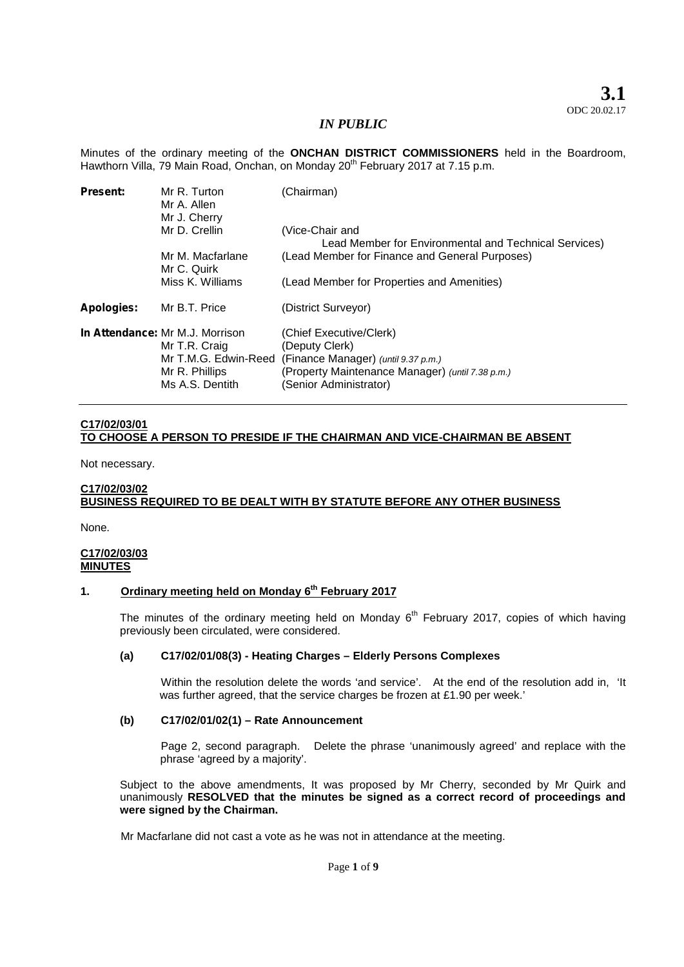Minutes of the ordinary meeting of the **ONCHAN DISTRICT COMMISSIONERS** held in the Boardroom, Hawthorn Villa, 79 Main Road, Onchan, on Monday 20<sup>th</sup> February 2017 at 7.15 p.m.

| <b>Present:</b> | Mr R. Turton<br>Mr A. Allen<br>Mr J. Cherry                                                                   | (Chairman)                                                                                                                                                     |
|-----------------|---------------------------------------------------------------------------------------------------------------|----------------------------------------------------------------------------------------------------------------------------------------------------------------|
|                 | Mr D. Crellin                                                                                                 | (Vice-Chair and<br>Lead Member for Environmental and Technical Services)                                                                                       |
|                 | Mr M. Macfarlane<br>Mr C. Quirk                                                                               | (Lead Member for Finance and General Purposes)                                                                                                                 |
|                 | Miss K. Williams                                                                                              | (Lead Member for Properties and Amenities)                                                                                                                     |
| Apologies:      | Mr B.T. Price                                                                                                 | (District Surveyor)                                                                                                                                            |
|                 | In Attendance: Mr M.J. Morrison<br>Mr T.R. Craig<br>Mr T.M.G. Edwin-Reed<br>Mr R. Phillips<br>Ms A.S. Dentith | (Chief Executive/Clerk)<br>(Deputy Clerk)<br>(Finance Manager) (until 9.37 p.m.)<br>(Property Maintenance Manager) (until 7.38 p.m.)<br>(Senior Administrator) |

## **C17/02/03/01 TO CHOOSE A PERSON TO PRESIDE IF THE CHAIRMAN AND VICE-CHAIRMAN BE ABSENT**

Not necessary.

# **C17/02/03/02 BUSINESS REQUIRED TO BE DEALT WITH BY STATUTE BEFORE ANY OTHER BUSINESS**

None.

### **C17/02/03/03 MINUTES**

## **1. Ordinary meeting held on Monday 6 th February 2017**

The minutes of the ordinary meeting held on Monday 6<sup>th</sup> February 2017, copies of which having previously been circulated, were considered.

#### **(a) C17/02/01/08(3) - Heating Charges – Elderly Persons Complexes**

Within the resolution delete the words 'and service'. At the end of the resolution add in, 'It was further agreed, that the service charges be frozen at £1.90 per week.'

#### **(b) C17/02/01/02(1) – Rate Announcement**

Page 2, second paragraph. Delete the phrase 'unanimously agreed' and replace with the phrase 'agreed by a majority'.

Subject to the above amendments, It was proposed by Mr Cherry, seconded by Mr Quirk and unanimously **RESOLVED that the minutes be signed as a correct record of proceedings and were signed by the Chairman.**

Mr Macfarlane did not cast a vote as he was not in attendance at the meeting.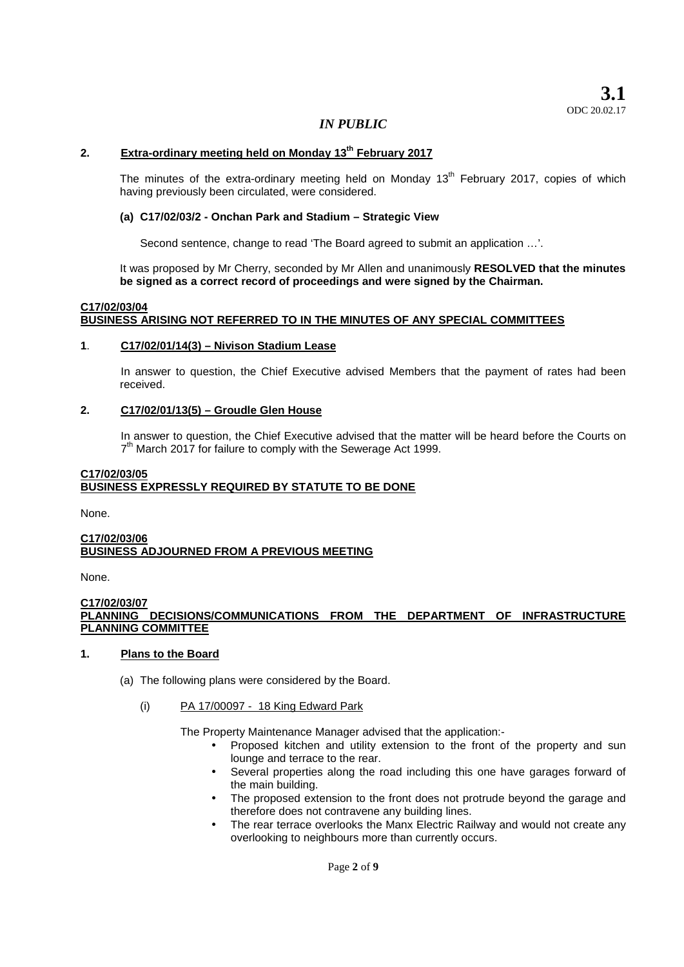### **2. Extra-ordinary meeting held on Monday 13th February 2017**

The minutes of the extra-ordinary meeting held on Monday 13<sup>th</sup> February 2017, copies of which having previously been circulated, were considered.

### **(a) C17/02/03/2 - Onchan Park and Stadium – Strategic View**

Second sentence, change to read 'The Board agreed to submit an application …'.

It was proposed by Mr Cherry, seconded by Mr Allen and unanimously **RESOLVED that the minutes be signed as a correct record of proceedings and were signed by the Chairman.**

#### **C17/02/03/04 BUSINESS ARISING NOT REFERRED TO IN THE MINUTES OF ANY SPECIAL COMMITTEES**

### **1**. **C17/02/01/14(3) – Nivison Stadium Lease**

In answer to question, the Chief Executive advised Members that the payment of rates had been received.

### **2. C17/02/01/13(5) – Groudle Glen House**

In answer to question, the Chief Executive advised that the matter will be heard before the Courts on 7<sup>th</sup> March 2017 for failure to comply with the Sewerage Act 1999.

## **C17/02/03/05 BUSINESS EXPRESSLY REQUIRED BY STATUTE TO BE DONE**

None.

#### **C17/02/03/06 BUSINESS ADJOURNED FROM A PREVIOUS MEETING**

None.

#### **C17/02/03/07 PLANNING DECISIONS/COMMUNICATIONS FROM THE DEPARTMENT OF INFRASTRUCTURE PLANNING COMMITTEE**

#### **1. Plans to the Board**

(a) The following plans were considered by the Board.

#### (i) PA 17/00097 - 18 King Edward Park

The Property Maintenance Manager advised that the application:-

- Proposed kitchen and utility extension to the front of the property and sun lounge and terrace to the rear.
- Several properties along the road including this one have garages forward of the main building.
- The proposed extension to the front does not protrude beyond the garage and therefore does not contravene any building lines.
- The rear terrace overlooks the Manx Electric Railway and would not create any overlooking to neighbours more than currently occurs.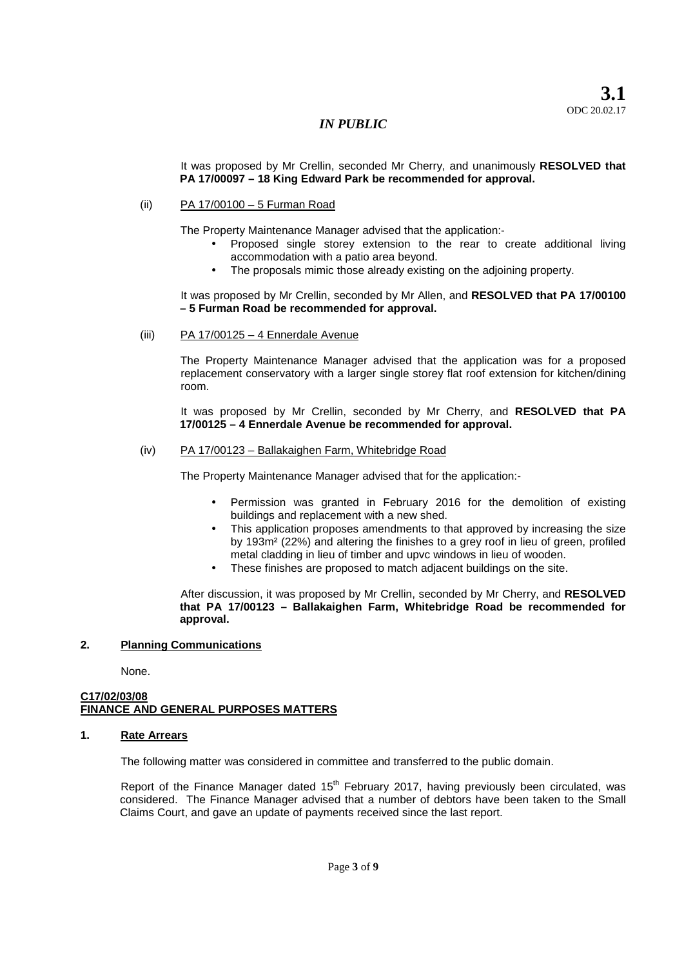It was proposed by Mr Crellin, seconded Mr Cherry, and unanimously **RESOLVED that PA 17/00097 – 18 King Edward Park be recommended for approval.**

### (ii) PA 17/00100 – 5 Furman Road

The Property Maintenance Manager advised that the application:-

- Proposed single storey extension to the rear to create additional living accommodation with a patio area beyond.
- The proposals mimic those already existing on the adjoining property.

It was proposed by Mr Crellin, seconded by Mr Allen, and **RESOLVED that PA 17/00100 – 5 Furman Road be recommended for approval.**

#### (iii) PA 17/00125 – 4 Ennerdale Avenue

The Property Maintenance Manager advised that the application was for a proposed replacement conservatory with a larger single storey flat roof extension for kitchen/dining room.

It was proposed by Mr Crellin, seconded by Mr Cherry, and **RESOLVED that PA 17/00125 – 4 Ennerdale Avenue be recommended for approval.**

#### (iv) PA 17/00123 – Ballakaighen Farm, Whitebridge Road

The Property Maintenance Manager advised that for the application:-

- Permission was granted in February 2016 for the demolition of existing buildings and replacement with a new shed.
- This application proposes amendments to that approved by increasing the size by 193m² (22%) and altering the finishes to a grey roof in lieu of green, profiled metal cladding in lieu of timber and upvc windows in lieu of wooden.
- These finishes are proposed to match adjacent buildings on the site.

After discussion, it was proposed by Mr Crellin, seconded by Mr Cherry, and **RESOLVED that PA 17/00123 – Ballakaighen Farm, Whitebridge Road be recommended for approval.**

#### **2. Planning Communications**

None.

### **C17/02/03/08 FINANCE AND GENERAL PURPOSES MATTERS**

#### **1. Rate Arrears**

The following matter was considered in committee and transferred to the public domain.

Report of the Finance Manager dated 15<sup>th</sup> February 2017, having previously been circulated, was considered. The Finance Manager advised that a number of debtors have been taken to the Small Claims Court, and gave an update of payments received since the last report.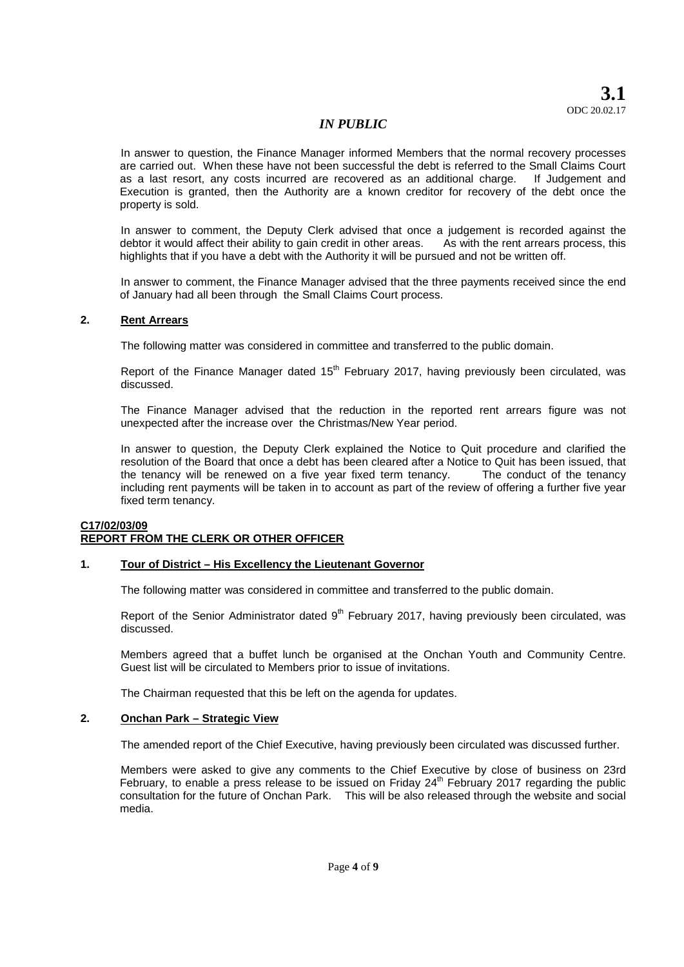**3.1** ODC 20.02.17

## *IN PUBLIC*

In answer to question, the Finance Manager informed Members that the normal recovery processes are carried out. When these have not been successful the debt is referred to the Small Claims Court as a last resort, any costs incurred are recovered as an additional charge. If Judgement and Execution is granted, then the Authority are a known creditor for recovery of the debt once the property is sold.

In answer to comment, the Deputy Clerk advised that once a judgement is recorded against the debtor it would affect their ability to gain credit in other areas. As with the rent arrears process, this highlights that if you have a debt with the Authority it will be pursued and not be written off.

In answer to comment, the Finance Manager advised that the three payments received since the end of January had all been through the Small Claims Court process.

#### **2. Rent Arrears**

The following matter was considered in committee and transferred to the public domain.

Report of the Finance Manager dated 15<sup>th</sup> February 2017, having previously been circulated, was discussed.

The Finance Manager advised that the reduction in the reported rent arrears figure was not unexpected after the increase over the Christmas/New Year period.

In answer to question, the Deputy Clerk explained the Notice to Quit procedure and clarified the resolution of the Board that once a debt has been cleared after a Notice to Quit has been issued, that the tenancy will be renewed on a five year fixed term tenancy. The conduct of the tenancy including rent payments will be taken in to account as part of the review of offering a further five year fixed term tenancy.

### **C17/02/03/09 REPORT FROM THE CLERK OR OTHER OFFICER**

#### **1. Tour of District – His Excellency the Lieutenant Governor**

The following matter was considered in committee and transferred to the public domain.

Report of the Senior Administrator dated 9<sup>th</sup> February 2017, having previously been circulated, was discussed.

Members agreed that a buffet lunch be organised at the Onchan Youth and Community Centre. Guest list will be circulated to Members prior to issue of invitations.

The Chairman requested that this be left on the agenda for updates.

#### **2. Onchan Park – Strategic View**

The amended report of the Chief Executive, having previously been circulated was discussed further.

Members were asked to give any comments to the Chief Executive by close of business on 23rd February, to enable a press release to be issued on Friday  $24<sup>th</sup>$  February 2017 regarding the public consultation for the future of Onchan Park. This will be also released through the website and social media.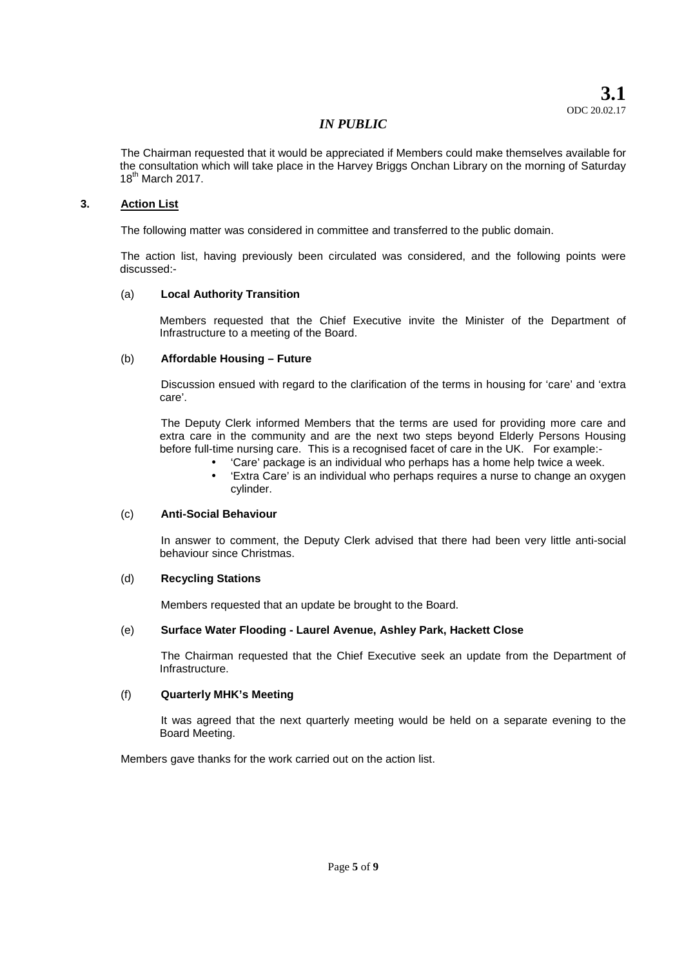The Chairman requested that it would be appreciated if Members could make themselves available for the consultation which will take place in the Harvey Briggs Onchan Library on the morning of Saturday 18th March 2017.

## **3. Action List**

The following matter was considered in committee and transferred to the public domain.

The action list, having previously been circulated was considered, and the following points were discussed:-

### (a) **Local Authority Transition**

Members requested that the Chief Executive invite the Minister of the Department of Infrastructure to a meeting of the Board.

### (b) **Affordable Housing – Future**

Discussion ensued with regard to the clarification of the terms in housing for 'care' and 'extra care'.

The Deputy Clerk informed Members that the terms are used for providing more care and extra care in the community and are the next two steps beyond Elderly Persons Housing before full-time nursing care. This is a recognised facet of care in the UK. For example:-

- 'Care' package is an individual who perhaps has a home help twice a week.
- 'Extra Care' is an individual who perhaps requires a nurse to change an oxygen cylinder.

#### (c) **Anti-Social Behaviour**

In answer to comment, the Deputy Clerk advised that there had been very little anti-social behaviour since Christmas.

#### (d) **Recycling Stations**

Members requested that an update be brought to the Board.

## (e) **Surface Water Flooding - Laurel Avenue, Ashley Park, Hackett Close**

The Chairman requested that the Chief Executive seek an update from the Department of Infrastructure.

## (f) **Quarterly MHK's Meeting**

It was agreed that the next quarterly meeting would be held on a separate evening to the Board Meeting.

Members gave thanks for the work carried out on the action list.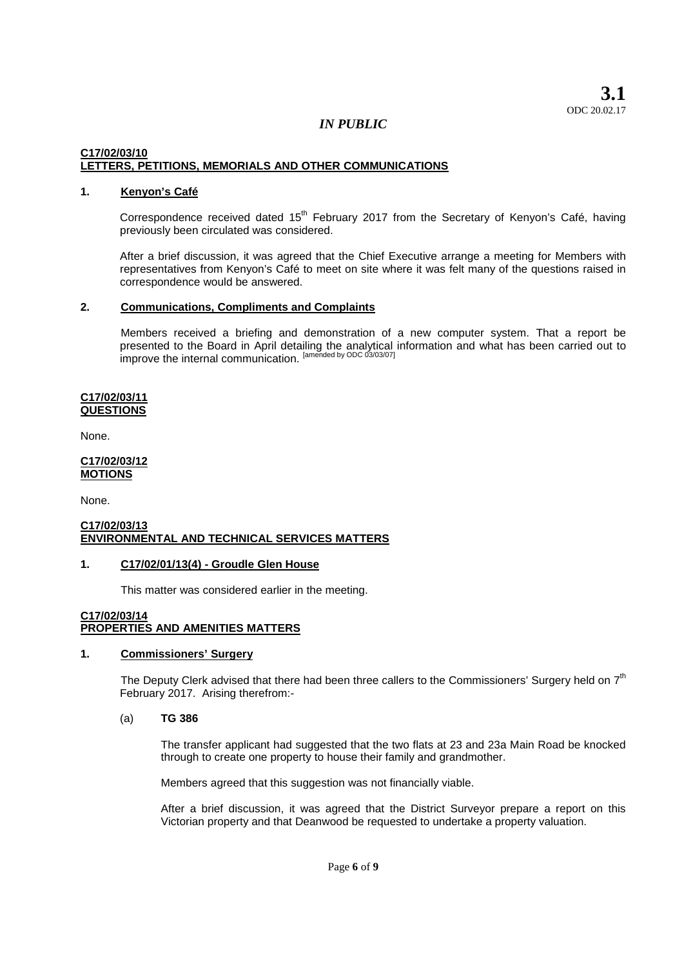## **C17/02/03/10 LETTERS, PETITIONS, MEMORIALS AND OTHER COMMUNICATIONS**

### **1. Kenyon's Café**

Correspondence received dated 15<sup>th</sup> February 2017 from the Secretary of Kenyon's Café, having previously been circulated was considered.

After a brief discussion, it was agreed that the Chief Executive arrange a meeting for Members with representatives from Kenyon's Café to meet on site where it was felt many of the questions raised in correspondence would be answered.

#### **2. Communications, Compliments and Complaints**

Members received a briefing and demonstration of a new computer system. That a report be presented to the Board in April detailing the analytical information and what has been carried out to improve the internal communication. <sup>[amended by ODC 03/03/07]</sup>

#### **C17/02/03/11 QUESTIONS**

None.

#### **C17/02/03/12 MOTIONS**

None.

#### **C17/02/03/13 ENVIRONMENTAL AND TECHNICAL SERVICES MATTERS**

#### **1. C17/02/01/13(4) - Groudle Glen House**

This matter was considered earlier in the meeting.

#### **C17/02/03/14 PROPERTIES AND AMENITIES MATTERS**

## **1. Commissioners' Surgery**

The Deputy Clerk advised that there had been three callers to the Commissioners' Surgery held on  $7<sup>th</sup>$ February 2017. Arising therefrom:-

#### (a) **TG 386**

The transfer applicant had suggested that the two flats at 23 and 23a Main Road be knocked through to create one property to house their family and grandmother.

Members agreed that this suggestion was not financially viable.

After a brief discussion, it was agreed that the District Surveyor prepare a report on this Victorian property and that Deanwood be requested to undertake a property valuation.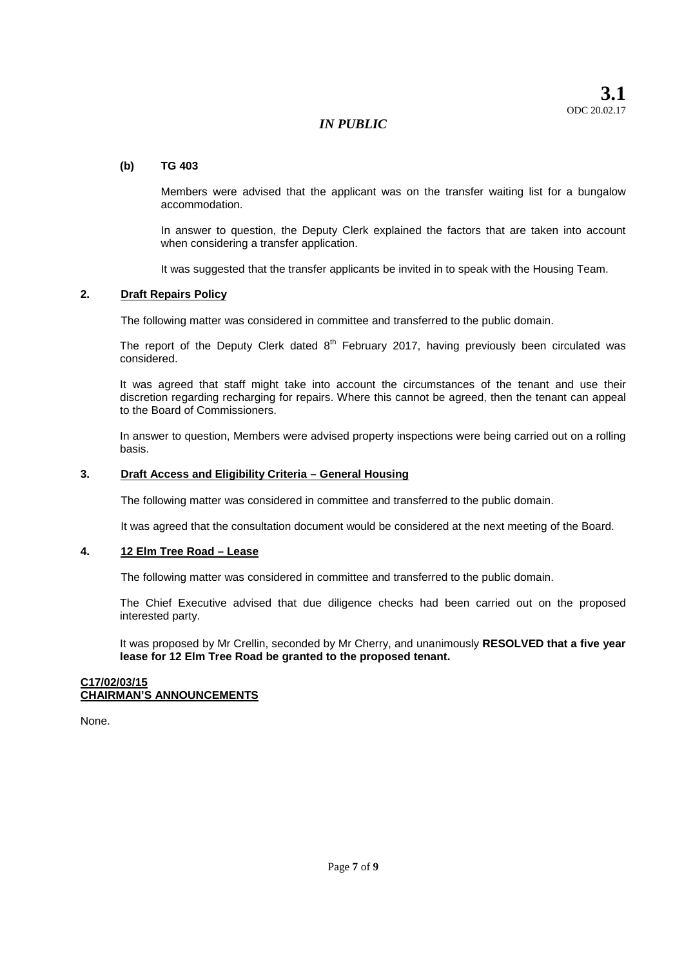# **(b) TG 403**

Members were advised that the applicant was on the transfer waiting list for a bungalow accommodation.

In answer to question, the Deputy Clerk explained the factors that are taken into account when considering a transfer application.

It was suggested that the transfer applicants be invited in to speak with the Housing Team.

### **2. Draft Repairs Policy**

The following matter was considered in committee and transferred to the public domain.

The report of the Deputy Clerk dated  $8<sup>th</sup>$  February 2017, having previously been circulated was considered.

It was agreed that staff might take into account the circumstances of the tenant and use their discretion regarding recharging for repairs. Where this cannot be agreed, then the tenant can appeal to the Board of Commissioners.

In answer to question, Members were advised property inspections were being carried out on a rolling basis.

#### **3. Draft Access and Eligibility Criteria – General Housing**

The following matter was considered in committee and transferred to the public domain.

It was agreed that the consultation document would be considered at the next meeting of the Board.

#### **4. 12 Elm Tree Road – Lease**

The following matter was considered in committee and transferred to the public domain.

The Chief Executive advised that due diligence checks had been carried out on the proposed interested party.

It was proposed by Mr Crellin, seconded by Mr Cherry, and unanimously **RESOLVED that a five year lease for 12 Elm Tree Road be granted to the proposed tenant.**

#### **C17/02/03/15 CHAIRMAN'S ANNOUNCEMENTS**

None.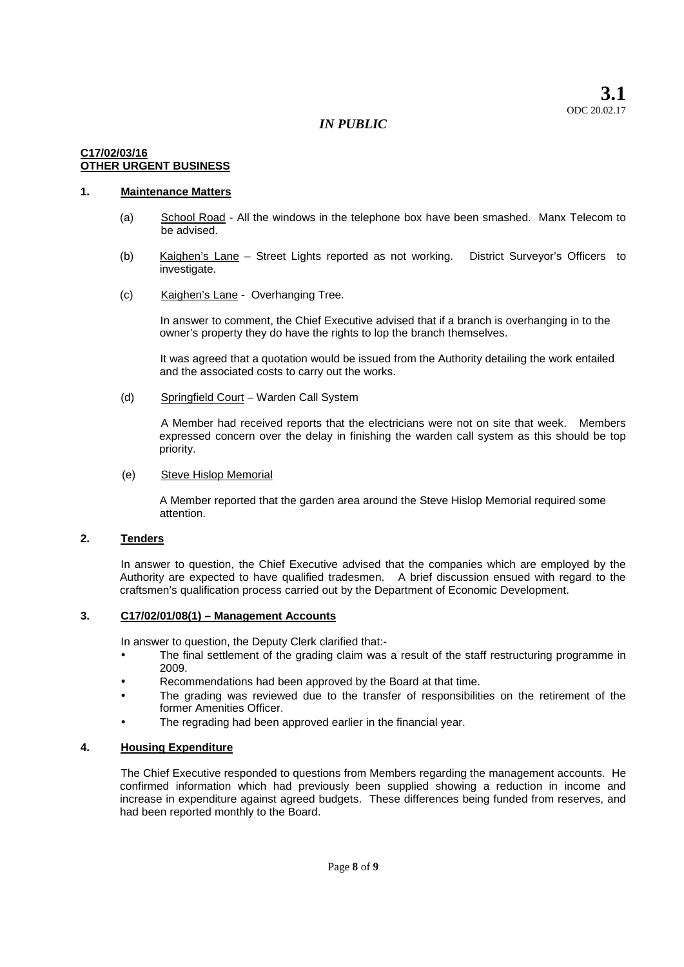## **C17/02/03/16 OTHER URGENT BUSINESS**

# **1. Maintenance Matters**

- (a) School Road All the windows in the telephone box have been smashed. Manx Telecom to be advised.
- (b) Kaighen's Lane Street Lights reported as not working. District Surveyor's Officers to investigate.
- (c) Kaighen's Lane Overhanging Tree.

In answer to comment, the Chief Executive advised that if a branch is overhanging in to the owner's property they do have the rights to lop the branch themselves.

It was agreed that a quotation would be issued from the Authority detailing the work entailed and the associated costs to carry out the works.

(d) Springfield Court – Warden Call System

A Member had received reports that the electricians were not on site that week. Members expressed concern over the delay in finishing the warden call system as this should be top priority.

#### (e) Steve Hislop Memorial

A Member reported that the garden area around the Steve Hislop Memorial required some attention.

### **2. Tenders**

In answer to question, the Chief Executive advised that the companies which are employed by the Authority are expected to have qualified tradesmen. A brief discussion ensued with regard to the craftsmen's qualification process carried out by the Department of Economic Development.

#### **3. C17/02/01/08(1) – Management Accounts**

In answer to question, the Deputy Clerk clarified that:-

- The final settlement of the grading claim was a result of the staff restructuring programme in 2009.
- Recommendations had been approved by the Board at that time.
- The grading was reviewed due to the transfer of responsibilities on the retirement of the former Amenities Officer.
- The regrading had been approved earlier in the financial year.

#### **4. Housing Expenditure**

The Chief Executive responded to questions from Members regarding the management accounts. He confirmed information which had previously been supplied showing a reduction in income and increase in expenditure against agreed budgets. These differences being funded from reserves, and had been reported monthly to the Board.